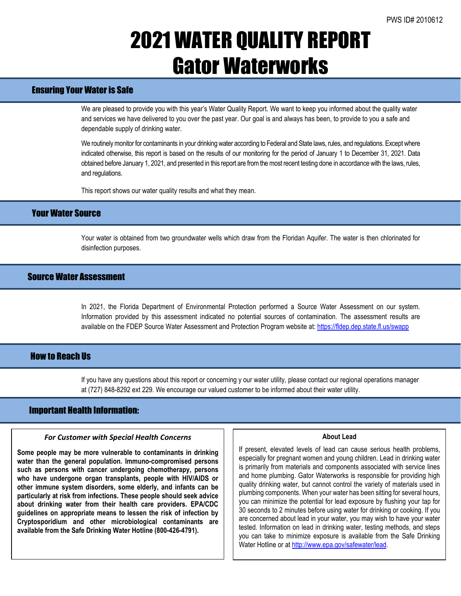## 2021 WATER QUALITY REPORT Gator Waterworks

## Ensuring Your Water is Safe

We are pleased to provide you with this year's Water Quality Report. We want to keep you informed about the quality water and services we have delivered to you over the past year. Our goal is and always has been, to provide to you a safe and dependable supply of drinking water.

We routinely monitor for contaminants in your drinking water according to Federal and State laws, rules, and regulations. Except where indicated otherwise, this report is based on the results of our monitoring for the period of January 1 to December 31, 2021. Data obtained before January 1, 2021, and presented in this report are from the most recent testing done in accordance with the laws, rules, and regulations.

This report shows our water quality results and what they mean.

## Your Water Source

Your water is obtained from two groundwater wells which draw from the Floridan Aquifer. The water is then chlorinated for disinfection purposes.

## Source Water Assessment

In 2021, the Florida Department of Environmental Protection performed a Source Water Assessment on our system. Information provided by this assessment indicated no potential sources of contamination. The assessment results are available on the FDEP Source Water Assessment and Protection Program website at: <https://fldep.dep.state.fl.us/swapp>

### **How to Reach IIs**

If you have any questions about this report or concerning y our water utility, please contact our regional operations manager at (727) 848-8292 ext 229. We encourage our valued customer to be informed about their water utility.

### Important Health Information:

l

### *For Customer with Special Health Concerns*

**Some people may be more vulnerable to contaminants in drinking water than the general population. Immuno-compromised persons such as persons with cancer undergoing chemotherapy, persons who have undergone organ transplants, people with HIV/AIDS or other immune system disorders, some elderly, and infants can be particularly at risk from infections. These people should seek advice about drinking water from their health care providers. EPA/CDC guidelines on appropriate means to lessen the risk of infection by Cryptosporidium and other microbiological contaminants are available from the Safe Drinking Water Hotline (800-426-4791).**

#### **About Lead**

If present, elevated levels of lead can cause serious health problems, especially for pregnant women and young children. Lead in drinking water is primarily from materials and components associated with service lines and home plumbing. Gator Waterworks is responsible for providing high quality drinking water, but cannot control the variety of materials used in plumbing components. When your water has been sitting for several hours, you can minimize the potential for lead exposure by flushing your tap for 30 seconds to 2 minutes before using water for drinking or cooking. If you are concerned about lead in your water, you may wish to have your water tested. Information on lead in drinking water, testing methods, and steps you can take to minimize exposure is available from the Safe Drinking Water Hotline or at [http://www.epa.gov/safewater/lead.](http://www.epa.gov/safewater/lead)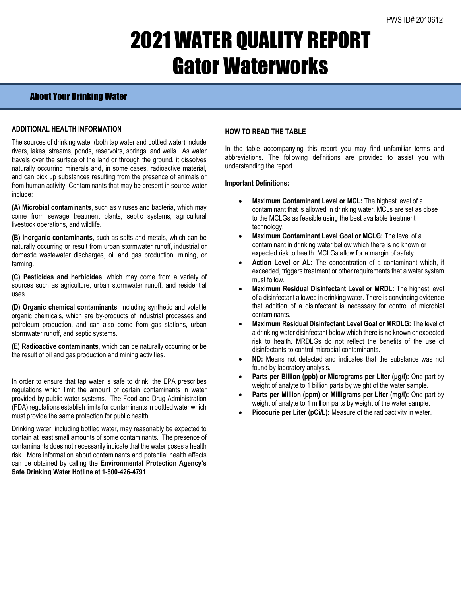# 2021 WATER QUALITY REPORT Gator Waterworks

## About Your Drinking Water

### **ADDITIONAL HEALTH INFORMATION**

The sources of drinking water (both tap water and bottled water) include rivers, lakes, streams, ponds, reservoirs, springs, and wells. As water travels over the surface of the land or through the ground, it dissolves naturally occurring minerals and, in some cases, radioactive material, and can pick up substances resulting from the presence of animals or from human activity. Contaminants that may be present in source water include:

**(A) Microbial contaminants**, such as viruses and bacteria, which may come from sewage treatment plants, septic systems, agricultural livestock operations, and wildlife.

**(B) Inorganic contaminants**, such as salts and metals, which can be naturally occurring or result from urban stormwater runoff, industrial or domestic wastewater discharges, oil and gas production, mining, or farming.

**(C) Pesticides and herbicides**, which may come from a variety of sources such as agriculture, urban stormwater runoff, and residential uses.

**(D) Organic chemical contaminants**, including synthetic and volatile organic chemicals, which are by-products of industrial processes and petroleum production, and can also come from gas stations, urban stormwater runoff, and septic systems.

**(E) Radioactive contaminants**, which can be naturally occurring or be the result of oil and gas production and mining activities.

In order to ensure that tap water is safe to drink, the EPA prescribes regulations which limit the amount of certain contaminants in water provided by public water systems. The Food and Drug Administration (FDA) regulations establish limits for contaminants in bottled water which must provide the same protection for public health.

Drinking water, including bottled water, may reasonably be expected to contain at least small amounts of some contaminants. The presence of contaminants does not necessarily indicate that the water poses a health risk. More information about contaminants and potential health effects can be obtained by calling the **Environmental Protection Agency's Safe Drinking Water Hotline at 1-800-426-4791**.

### **HOW TO READ THE TABLE**

In the table accompanying this report you may find unfamiliar terms and abbreviations. The following definitions are provided to assist you with understanding the report.

#### **Important Definitions:**

- **Maximum Contaminant Level or MCL:** The highest level of a contaminant that is allowed in drinking water. MCLs are set as close to the MCLGs as feasible using the best available treatment technology.
- **Maximum Contaminant Level Goal or MCLG:** The level of a contaminant in drinking water bellow which there is no known or expected risk to health. MCLGs allow for a margin of safety.
- Action Level or AL: The concentration of a contaminant which, if exceeded, triggers treatment or other requirements that a water system must follow.
- **Maximum Residual Disinfectant Level or MRDL:** The highest level of a disinfectant allowed in drinking water. There is convincing evidence that addition of a disinfectant is necessary for control of microbial contaminants.
- **Maximum Residual Disinfectant Level Goal or MRDLG:** The level of a drinking water disinfectant below which there is no known or expected risk to health. MRDLGs do not reflect the benefits of the use of disinfectants to control microbial contaminants.
- **ND:** Means not detected and indicates that the substance was not found by laboratory analysis.
- **Parts per Billion (ppb) or Micrograms per Liter (μg/l):** One part by weight of analyte to 1 billion parts by weight of the water sample.
- **Parts per Million (ppm) or Milligrams per Liter (mg/l):** One part by weight of analyte to 1 million parts by weight of the water sample.
- Picocurie per Liter (pCi/L): Measure of the radioactivity in water.